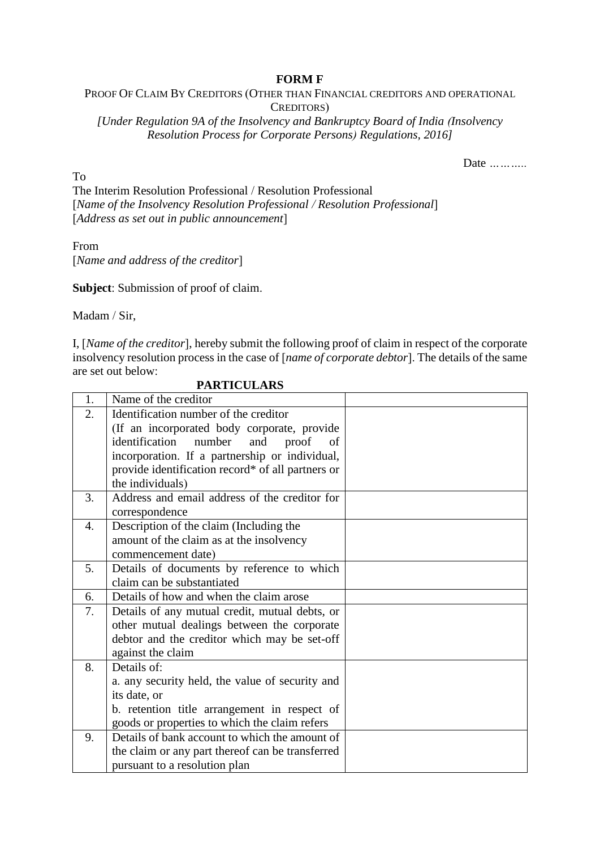## **FORM F**

## PROOF OF CLAIM BY CREDITORS (OTHER THAN FINANCIAL CREDITORS AND OPERATIONAL CREDITORS)

*[Under Regulation 9A of the Insolvency and Bankruptcy Board of India (Insolvency Resolution Process for Corporate Persons) Regulations, 2016]*

Date *………..* 

To The Interim Resolution Professional / Resolution Professional [*Name of the Insolvency Resolution Professional / Resolution Professional*] [*Address as set out in public announcement*]

From [*Name and address of the creditor*]

**Subject**: Submission of proof of claim.

Madam / Sir,

I, [*Name of the creditor*], hereby submit the following proof of claim in respect of the corporate insolvency resolution process in the case of [*name of corporate debtor*]. The details of the same are set out below:

| 1. | Name of the creditor                              |  |
|----|---------------------------------------------------|--|
| 2. | Identification number of the creditor             |  |
|    | (If an incorporated body corporate, provide       |  |
|    | identification<br>number<br>and<br>proof<br>of    |  |
|    | incorporation. If a partnership or individual,    |  |
|    | provide identification record* of all partners or |  |
|    | the individuals)                                  |  |
| 3. | Address and email address of the creditor for     |  |
|    | correspondence                                    |  |
| 4. | Description of the claim (Including the           |  |
|    | amount of the claim as at the insolvency          |  |
|    | commencement date)                                |  |
| 5. | Details of documents by reference to which        |  |
|    | claim can be substantiated                        |  |
| 6. | Details of how and when the claim arose           |  |
| 7. | Details of any mutual credit, mutual debts, or    |  |
|    | other mutual dealings between the corporate       |  |
|    | debtor and the creditor which may be set-off      |  |
|    | against the claim                                 |  |
| 8. | Details of:                                       |  |
|    | a. any security held, the value of security and   |  |
|    | its date, or                                      |  |
|    | b. retention title arrangement in respect of      |  |
|    | goods or properties to which the claim refers     |  |
| 9. | Details of bank account to which the amount of    |  |
|    | the claim or any part thereof can be transferred  |  |
|    | pursuant to a resolution plan                     |  |

 **PARTICULARS**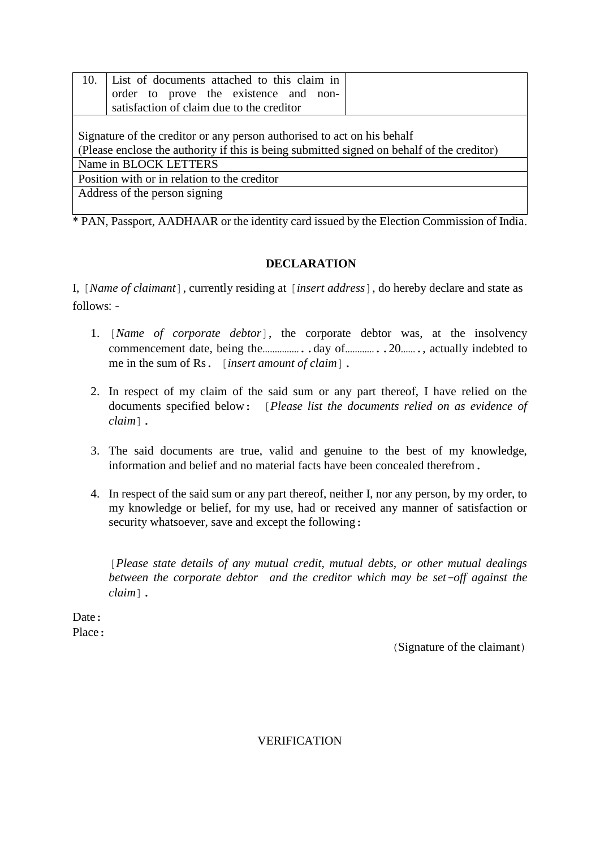| 10.                                                                                                                                                                   | List of documents attached to this claim in<br>order to prove the existence and non-<br>satisfaction of claim due to the creditor |  |  |  |
|-----------------------------------------------------------------------------------------------------------------------------------------------------------------------|-----------------------------------------------------------------------------------------------------------------------------------|--|--|--|
| Signature of the creditor or any person authorised to act on his behalf<br>(Please enclose the authority if this is being submitted signed on behalf of the creditor) |                                                                                                                                   |  |  |  |
| Name in BLOCK LETTERS                                                                                                                                                 |                                                                                                                                   |  |  |  |
| Position with or in relation to the creditor                                                                                                                          |                                                                                                                                   |  |  |  |
| Address of the person signing                                                                                                                                         |                                                                                                                                   |  |  |  |

\* PAN, Passport, AADHAAR or the identity card issued by the Election Commission of India.

## **DECLARATION**

I, [*Name of claimant*], currently residing at [*insert address*], do hereby declare and state as follows: -

- 1. [*Name of corporate debtor*], the corporate debtor was, at the insolvency commencement date, being the……………..day of…………..20……., actually indebted to me in the sum of Rs. [*insert amount of claim*].
- 2. In respect of my claim of the said sum or any part thereof, I have relied on the documents specified below: [*Please list the documents relied on as evidence of claim*].
- 3. The said documents are true, valid and genuine to the best of my knowledge, information and belief and no material facts have been concealed therefrom.
- 4. In respect of the said sum or any part thereof, neither I, nor any person, by my order, to my knowledge or belief, for my use, had or received any manner of satisfaction or security whatsoever, save and except the following:

[*Please state details of any mutual credit, mutual debts, or other mutual dealings between the corporate debtor and the creditor which may be set-off against the claim*].

Date: Place ·

(Signature of the claimant)

VERIFICATION